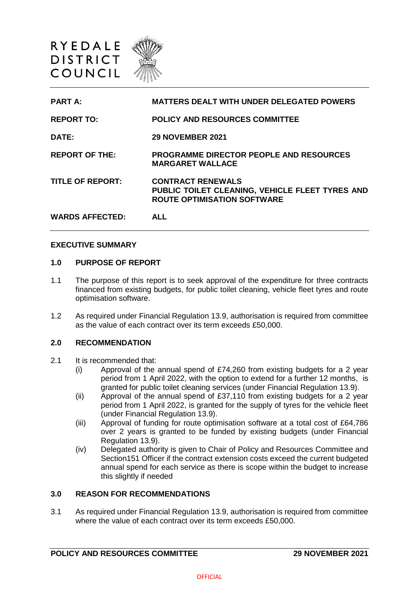

| <b>PART A:</b>          | <b>MATTERS DEALT WITH UNDER DELEGATED POWERS</b>                                                                  |
|-------------------------|-------------------------------------------------------------------------------------------------------------------|
| <b>REPORT TO:</b>       | <b>POLICY AND RESOURCES COMMITTEE</b>                                                                             |
| DATE:                   | <b>29 NOVEMBER 2021</b>                                                                                           |
| <b>REPORT OF THE:</b>   | <b>PROGRAMME DIRECTOR PEOPLE AND RESOURCES</b><br><b>MARGARET WALLACE</b>                                         |
| <b>TITLE OF REPORT:</b> | <b>CONTRACT RENEWALS</b><br>PUBLIC TOILET CLEANING, VEHICLE FLEET TYRES AND<br><b>ROUTE OPTIMISATION SOFTWARE</b> |
| <b>WARDS AFFECTED:</b>  | <b>ALL</b>                                                                                                        |

#### **EXECUTIVE SUMMARY**

#### **1.0 PURPOSE OF REPORT**

- 1.1 The purpose of this report is to seek approval of the expenditure for three contracts financed from existing budgets, for public toilet cleaning, vehicle fleet tyres and route optimisation software.
- 1.2 As required under Financial Regulation 13.9, authorisation is required from committee as the value of each contract over its term exceeds £50,000.

# **2.0 RECOMMENDATION**

- 2.1 It is recommended that:
	- (i) Approval of the annual spend of £74,260 from existing budgets for a 2 year period from 1 April 2022, with the option to extend for a further 12 months, is granted for public toilet cleaning services (under Financial Regulation 13.9).
	- (ii) Approval of the annual spend of £37,110 from existing budgets for a 2 year period from 1 April 2022, is granted for the supply of tyres for the vehicle fleet (under Financial Regulation 13.9).
	- (iii) Approval of funding for route optimisation software at a total cost of £64,786 over 2 years is granted to be funded by existing budgets (under Financial Regulation 13.9).
	- (iv) Delegated authority is given to Chair of Policy and Resources Committee and Section151 Officer if the contract extension costs exceed the current budgeted annual spend for each service as there is scope within the budget to increase this slightly if needed

#### **3.0 REASON FOR RECOMMENDATIONS**

3.1 As required under Financial Regulation 13.9, authorisation is required from committee where the value of each contract over its term exceeds £50,000.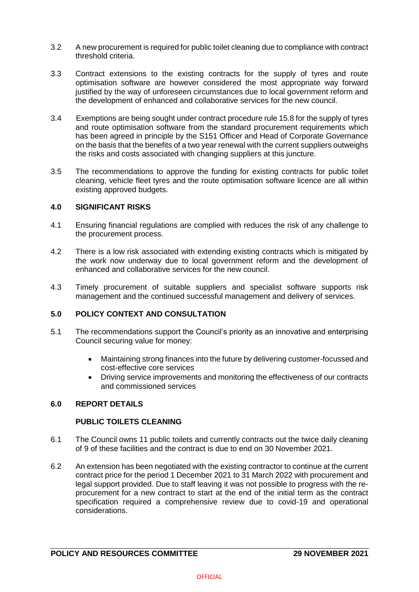- 3.2 A new procurement is required for public toilet cleaning due to compliance with contract threshold criteria.
- 3.3 Contract extensions to the existing contracts for the supply of tyres and route optimisation software are however considered the most appropriate way forward justified by the way of unforeseen circumstances due to local government reform and the development of enhanced and collaborative services for the new council.
- 3.4 Exemptions are being sought under contract procedure rule 15.8 for the supply of tyres and route optimisation software from the standard procurement requirements which has been agreed in principle by the S151 Officer and Head of Corporate Governance on the basis that the benefits of a two year renewal with the current suppliers outweighs the risks and costs associated with changing suppliers at this juncture.
- 3.5 The recommendations to approve the funding for existing contracts for public toilet cleaning, vehicle fleet tyres and the route optimisation software licence are all within existing approved budgets.

# **4.0 SIGNIFICANT RISKS**

- 4.1 Ensuring financial regulations are complied with reduces the risk of any challenge to the procurement process.
- 4.2 There is a low risk associated with extending existing contracts which is mitigated by the work now underway due to local government reform and the development of enhanced and collaborative services for the new council.
- 4.3 Timely procurement of suitable suppliers and specialist software supports risk management and the continued successful management and delivery of services.

## **5.0 POLICY CONTEXT AND CONSULTATION**

- 5.1 The recommendations support the Council's priority as an innovative and enterprising Council securing value for money:
	- Maintaining strong finances into the future by delivering customer-focussed and cost-effective core services
	- Driving service improvements and monitoring the effectiveness of our contracts and commissioned services

### **6.0 REPORT DETAILS**

### **PUBLIC TOILETS CLEANING**

- 6.1 The Council owns 11 public toilets and currently contracts out the twice daily cleaning of 9 of these facilities and the contract is due to end on 30 November 2021.
- 6.2 An extension has been negotiated with the existing contractor to continue at the current contract price for the period 1 December 2021 to 31 March 2022 with procurement and legal support provided. Due to staff leaving it was not possible to progress with the reprocurement for a new contract to start at the end of the initial term as the contract specification required a comprehensive review due to covid-19 and operational considerations.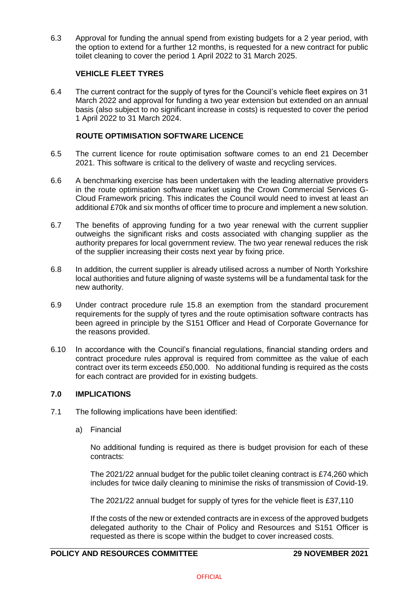6.3 Approval for funding the annual spend from existing budgets for a 2 year period, with the option to extend for a further 12 months, is requested for a new contract for public toilet cleaning to cover the period 1 April 2022 to 31 March 2025.

## **VEHICLE FLEET TYRES**

6.4 The current contract for the supply of tyres for the Council's vehicle fleet expires on 31 March 2022 and approval for funding a two year extension but extended on an annual basis (also subject to no significant increase in costs) is requested to cover the period 1 April 2022 to 31 March 2024.

# **ROUTE OPTIMISATION SOFTWARE LICENCE**

- 6.5 The current licence for route optimisation software comes to an end 21 December 2021. This software is critical to the delivery of waste and recycling services.
- 6.6 A benchmarking exercise has been undertaken with the leading alternative providers in the route optimisation software market using the Crown Commercial Services G-Cloud Framework pricing. This indicates the Council would need to invest at least an additional £70k and six months of officer time to procure and implement a new solution.
- 6.7 The benefits of approving funding for a two year renewal with the current supplier outweighs the significant risks and costs associated with changing supplier as the authority prepares for local government review. The two year renewal reduces the risk of the supplier increasing their costs next year by fixing price.
- 6.8 In addition, the current supplier is already utilised across a number of North Yorkshire local authorities and future aligning of waste systems will be a fundamental task for the new authority.
- 6.9 Under contract procedure rule 15.8 an exemption from the standard procurement requirements for the supply of tyres and the route optimisation software contracts has been agreed in principle by the S151 Officer and Head of Corporate Governance for the reasons provided.
- 6.10 In accordance with the Council's financial regulations, financial standing orders and contract procedure rules approval is required from committee as the value of each contract over its term exceeds £50,000. No additional funding is required as the costs for each contract are provided for in existing budgets.

### **7.0 IMPLICATIONS**

- 7.1 The following implications have been identified:
	- a) Financial

No additional funding is required as there is budget provision for each of these contracts:

The 2021/22 annual budget for the public toilet cleaning contract is £74,260 which includes for twice daily cleaning to minimise the risks of transmission of Covid-19.

The 2021/22 annual budget for supply of tyres for the vehicle fleet is £37,110

If the costs of the new or extended contracts are in excess of the approved budgets delegated authority to the Chair of Policy and Resources and S151 Officer is requested as there is scope within the budget to cover increased costs.